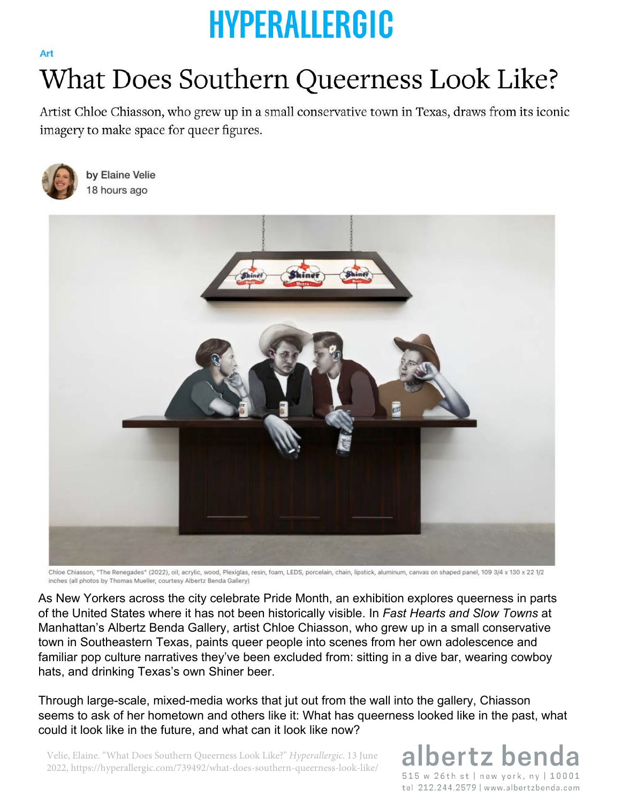## **HYPERALLERGIC**

## What Does Southern Queerness Look Like?

Artist Chloe Chiasson, who grew up in a small conservative town in Texas, draws from its iconic imagery to make space for queer figures.



Art

by Elaine Velie 18 hours ago



Chloe Chiasson, "The Renegades" (2022), oil, acrylic, wood, Plexiglas, resin, foam, LEDS, porcelain, chain, lipstick, aluminum, canvas on shaped panel, 109 3/4 x 130 x 22 1/2 inches (all photos by Thomas Mueller, courtesy Albertz Benda Gallery)

As New Yorkers across the city celebrate Pride Month, an exhibition explores queerness in parts of the United States where it has not been historically visible. In *Fast Hearts and Slow Towns* at Manhattan's Albertz Benda Gallery, artist Chloe Chiasson, who grew up in a small conservative town in Southeastern Texas, paints queer people into scenes from her own adolescence and familiar pop culture narratives they've been excluded from: sitting in a dive bar, wearing cowboy hats, and drinking Texas's own Shiner beer.

Through large-scale, mixed-media works that jut out from the wall into the gallery, Chiasson seems to ask of her hometown and others like it: What has queerness looked like in the past, what could it look like in the future, and what can it look like now?

Velie, Elaine. "What Does Southern Queerness Look Like?" *Hyperallergic*. 13 June 2022, https://hyperallergic.com/739492/what-does-southern-queerness-look-like/

albertz ber 515 w 26th st | new york, ny | 10001 tel 212.244.2579 | www.albertzbenda.com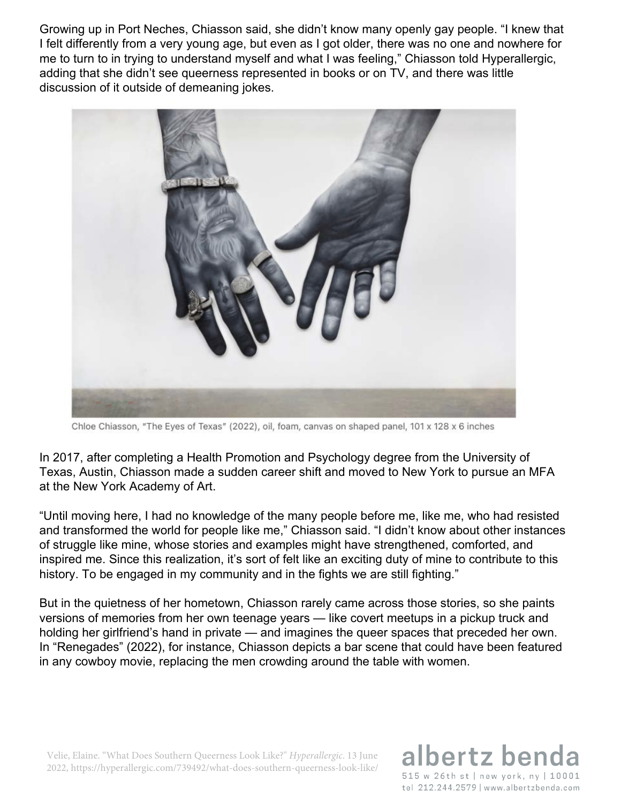Growing up in Port Neches, Chiasson said, she didn't know many openly gay people. "I knew that I felt differently from a very young age, but even as I got older, there was no one and nowhere for me to turn to in trying to understand myself and what I was feeling," Chiasson told Hyperallergic, adding that she didn't see queerness represented in books or on TV, and there was little discussion of it outside of demeaning jokes.



Chloe Chiasson, "The Eyes of Texas" (2022), oil, foam, canvas on shaped panel, 101 x 128 x 6 inches

In 2017, after completing a Health Promotion and Psychology degree from the University of Texas, Austin, Chiasson made a sudden career shift and moved to New York to pursue an MFA at the New York Academy of Art.

"Until moving here, I had no knowledge of the many people before me, like me, who had resisted and transformed the world for people like me," Chiasson said. "I didn't know about other instances of struggle like mine, whose stories and examples might have strengthened, comforted, and inspired me. Since this realization, it's sort of felt like an exciting duty of mine to contribute to this history. To be engaged in my community and in the fights we are still fighting."

But in the quietness of her hometown, Chiasson rarely came across those stories, so she paints versions of memories from her own teenage years — like covert meetups in a pickup truck and holding her girlfriend's hand in private — and imagines the queer spaces that preceded her own. In "Renegades" (2022), for instance, Chiasson depicts a bar scene that could have been featured in any cowboy movie, replacing the men crowding around the table with women.

Velie, Elaine. "What Does Southern Queerness Look Like?" *Hyperallergic*. 13 June 2022, https://hyperallergic.com/739492/what-does-southern-queerness-look-like/

## bertz ber 515 w 26th st | new york, ny | 10001

tel 212.244.2579 | www.albertzbenda.com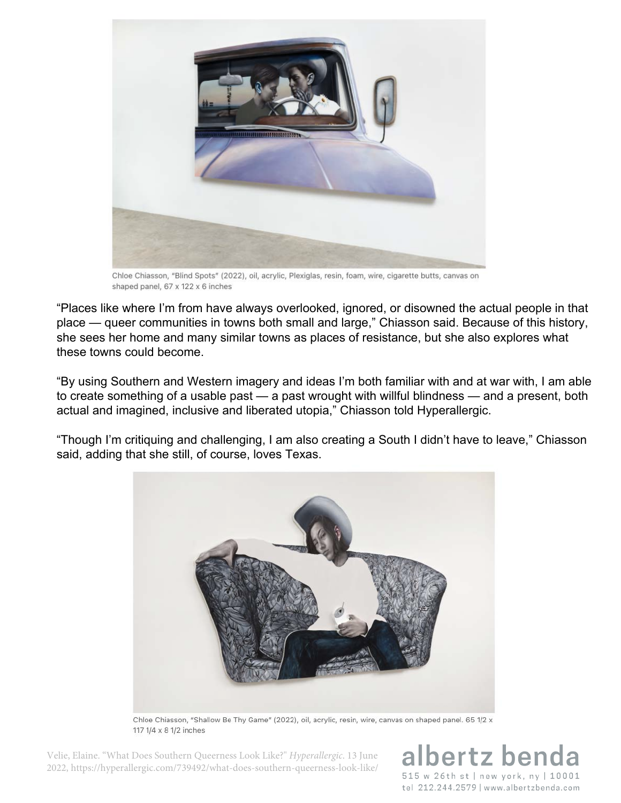

Chloe Chiasson, "Blind Spots" (2022), oil, acrylic, Plexiglas, resin, foam, wire, cigarette butts, canvas on shaped panel, 67 x 122 x 6 inches

"Places like where I'm from have always overlooked, ignored, or disowned the actual people in that place — queer communities in towns both small and large," Chiasson said. Because of this history, she sees her home and many similar towns as places of resistance, but she also explores what these towns could become.

"By using Southern and Western imagery and ideas I'm both familiar with and at war with, I am able to create something of a usable past — a past wrought with willful blindness — and a present, both actual and imagined, inclusive and liberated utopia," Chiasson told Hyperallergic.

"Though I'm critiquing and challenging, I am also creating a South I didn't have to leave," Chiasson said, adding that she still, of course, loves Texas.



Chloe Chiasson, "Shallow Be Thy Game" (2022), oil, acrylic, resin, wire, canvas on shaped panel. 65 1/2 x 117 1/4 x 8 1/2 inches

Velie, Elaine. "What Does Southern Queerness Look Like?" *Hyperallergic*. 13 June 2022, https://hyperallergic.com/739492/what-does-southern-queerness-look-like/

bertz ben 515 w 26th st | new york, ny | 10001 tel 212.244.2579 | www.albertzbenda.com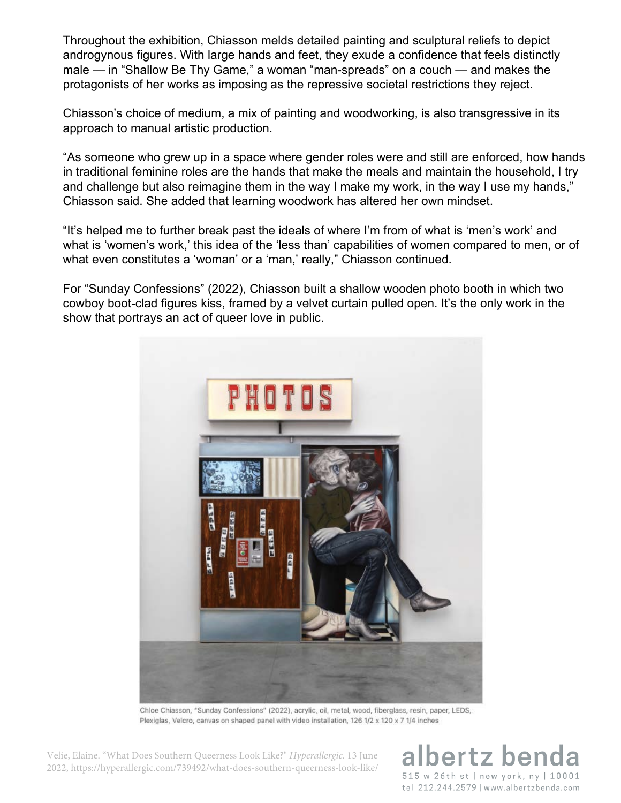Throughout the exhibition, Chiasson melds detailed painting and sculptural reliefs to depict androgynous figures. With large hands and feet, they exude a confidence that feels distinctly male — in "Shallow Be Thy Game," a woman "man-spreads" on a couch — and makes the protagonists of her works as imposing as the repressive societal restrictions they reject.

Chiasson's choice of medium, a mix of painting and woodworking, is also transgressive in its approach to manual artistic production.

"As someone who grew up in a space where gender roles were and still are enforced, how hands in traditional feminine roles are the hands that make the meals and maintain the household, I try and challenge but also reimagine them in the way I make my work, in the way I use my hands," Chiasson said. She added that learning woodwork has altered her own mindset.

"It's helped me to further break past the ideals of where I'm from of what is 'men's work' and what is 'women's work,' this idea of the 'less than' capabilities of women compared to men, or of what even constitutes a 'woman' or a 'man,' really," Chiasson continued.

For "Sunday Confessions" (2022), Chiasson built a shallow wooden photo booth in which two cowboy boot-clad figures kiss, framed by a velvet curtain pulled open. It's the only work in the show that portrays an act of queer love in public.



Chloe Chiasson, "Sunday Confessions" (2022), acrylic, oil, metal, wood, fiberglass, resin, paper, LEDS, Plexiglas, Velcro, canvas on shaped panel with video installation, 126 1/2 x 120 x 7 1/4 inches

Velie, Elaine. "What Does Southern Queerness Look Like?" *Hyperallergic*. 13 June 2022, https://hyperallergic.com/739492/what-does-southern-queerness-look-like/

ertz ben 515 w 26th st | new york, ny | 10001 tel 212.244.2579 | www.albertzbenda.com